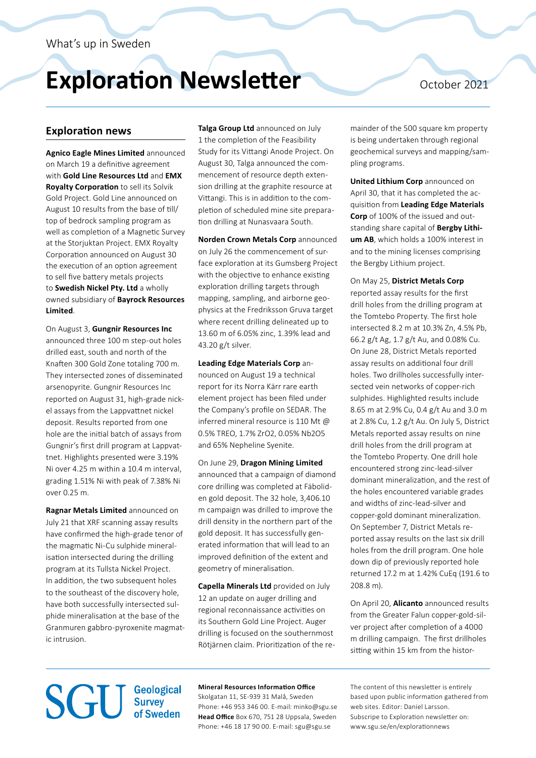# **Exploration Newsletter** October 2021

## **Exploration news**

**Agnico Eagle Mines Limited** announced on March 19 a definitive agreement with **Gold Line Resources Ltd** and **EMX Royalty Corporation** to sell its Solvik Gold Project. Gold Line announced on August 10 results from the base of till/ top of bedrock sampling program as well as completion of a Magnetic Survey at the Storjuktan Project. EMX Royalty Corporation announced on August 30 the execution of an option agreement to sell five battery metals projects to **Swedish Nickel Pty. Ltd** a wholly owned subsidiary of **Bayrock Resources Limited**.

On August 3, **Gungnir Resources Inc** announced three 100 m step-out holes drilled east, south and north of the Knaften 300 Gold Zone totaling 700 m. They intersected zones of disseminated arsenopyrite. Gungnir Resources Inc reported on August 31, high-grade nickel assays from the Lappvattnet nickel deposit. Results reported from one hole are the initial batch of assays from Gungnir's first drill program at Lappvattnet. Highlights presented were 3.19% Ni over 4.25 m within a 10.4 m interval, grading 1.51% Ni with peak of 7.38% Ni over 0.25 m.

**Ragnar Metals Limited** announced on July 21 that XRF scanning assay results have confirmed the high-grade tenor of the magmatic Ni-Cu sulphide mineralisation intersected during the drilling program at its Tullsta Nickel Project. In addition, the two subsequent holes to the southeast of the discovery hole, have both successfully intersected sulphide mineralisation at the base of the Granmuren gabbro-pyroxenite magmatic intrusion.

**Talga Group Ltd** announced on July 1 the completion of the Feasibility Study for its Vittangi Anode Project. On August 30, Talga announced the commencement of resource depth extension drilling at the graphite resource at Vittangi. This is in addition to the completion of scheduled mine site preparation drilling at Nunasvaara South.

**Norden Crown Metals Corp** announced on July 26 the commencement of surface exploration at its Gumsberg Project with the objective to enhance existing exploration drilling targets through mapping, sampling, and airborne geophysics at the Fredriksson Gruva target where recent drilling delineated up to 13.60 m of 6.05% zinc, 1.39% lead and 43.20 g/t silver.

**Leading Edge Materials Corp** announced on August 19 a technical report for its Norra Kärr rare earth element project has been filed under the Company's profile on SEDAR. The inferred mineral resource is 110 Mt @ 0.5% TREO, 1.7% ZrO2, 0.05% Nb2O5 and 65% Nepheline Syenite.

On June 29, **Dragon Mining Limited** announced that a campaign of diamond core drilling was completed at Fäboliden gold deposit. The 32 hole, 3,406.10 m campaign was drilled to improve the drill density in the northern part of the gold deposit. It has successfully generated information that will lead to an improved definition of the extent and geometry of mineralisation.

**Capella Minerals Ltd** provided on July 12 an update on auger drilling and regional reconnaissance activities on its Southern Gold Line Project. Auger drilling is focused on the southernmost Rötjärnen claim. Prioritization of the remainder of the 500 square km property is being undertaken through regional geochemical surveys and mapping/sampling programs.

**United Lithium Corp** announced on April 30, that it has completed the acquisition from **Leading Edge Materials Corp** of 100% of the issued and outstanding share capital of **Bergby Lithium AB**, which holds a 100% interest in and to the mining licenses comprising the Bergby Lithium project.

On May 25, **District Metals Corp** reported assay results for the first drill holes from the drilling program at the Tomtebo Property. The first hole intersected 8.2 m at 10.3% Zn, 4.5% Pb, 66.2 g/t Ag, 1.7 g/t Au, and 0.08% Cu. On June 28, District Metals reported assay results on additional four drill holes. Two drillholes successfully intersected vein networks of copper-rich sulphides. Highlighted results include 8.65 m at 2.9% Cu, 0.4 g/t Au and 3.0 m at 2.8% Cu, 1.2 g/t Au. On July 5, District Metals reported assay results on nine drill holes from the drill program at the Tomtebo Property. One drill hole encountered strong zinc-lead-silver dominant mineralization, and the rest of the holes encountered variable grades and widths of zinc-lead-silver and copper-gold dominant mineralization. On September 7, District Metals reported assay results on the last six drill holes from the drill program. One hole down dip of previously reported hole returned 17.2 m at 1.42% CuEq (191.6 to 208.8 m).

On April 20, **Alicanto** announced results from the Greater Falun copper-gold-silver project after completion of a 4000 m drilling campaign. The first drillholes sitting within 15 km from the histor-

## **Mineral Resources Information Office SGU** Survey of Sweden Skolgatan 11, SE-939 31 Malå, Sweden

Phone: +46 953 346 00. E-mail: [minko@sgu.se](mailto:minko%40sgu.se%20?subject=) **Head Office** Box 670, 751 28 Uppsala, Sweden Phone: +46 18 17 90 00. E-mail: [sgu@sgu.se](mailto:sgu%40sgu.se?subject=)

The content of this newsletter is entirely based upon public information gathered from web sites. Editor: Daniel Larsson. Subscripe to Exploration newsletter on: <www.sgu.se/en/explorationnews>